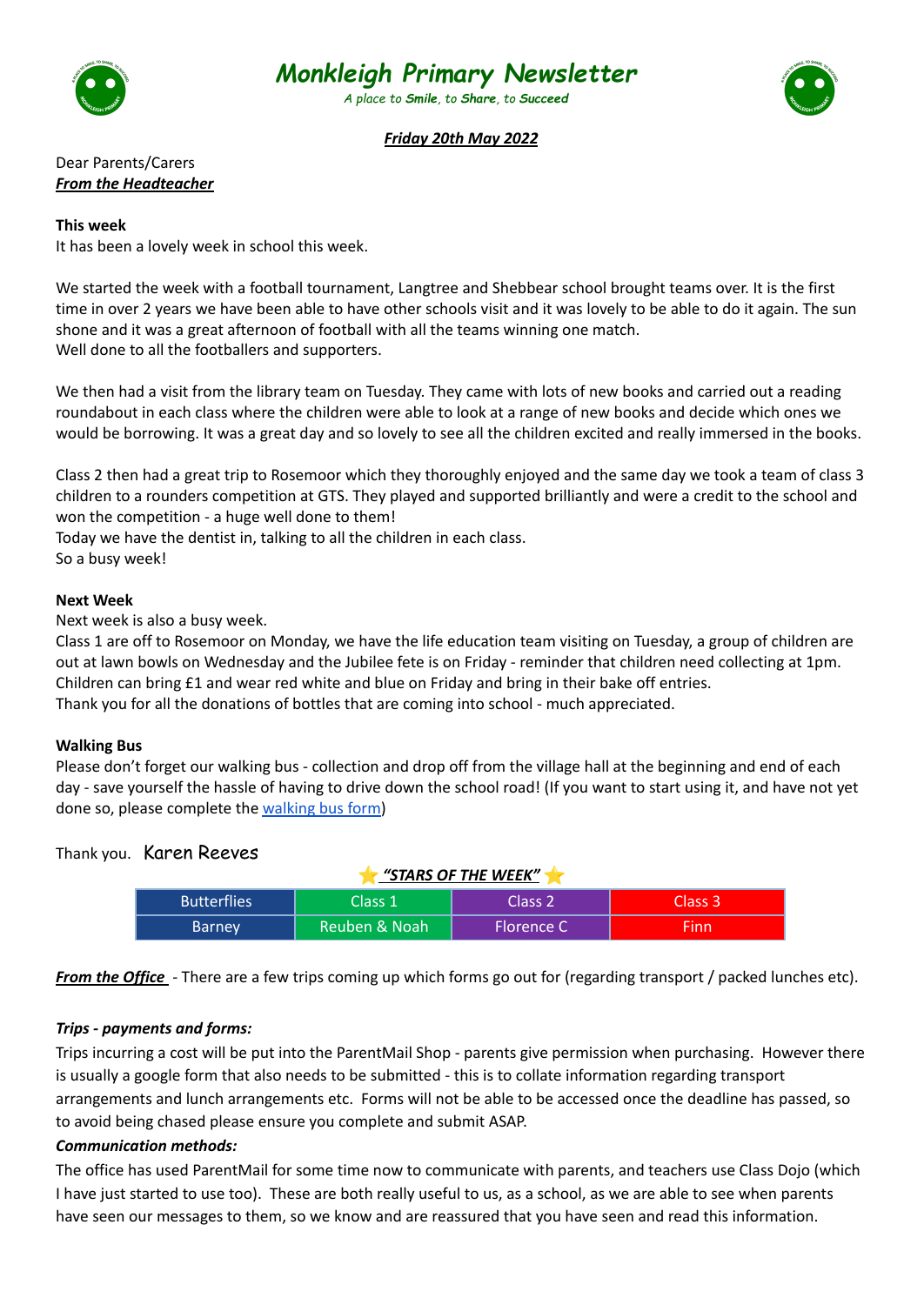

# *Monkleigh Primary Newsletter*

*A place to Smile, to Share, to Succeed*



## *Friday 20th May 2022*

Dear Parents/Carers *From the Headteacher*

#### **This week**

It has been a lovely week in school this week.

We started the week with a football tournament, Langtree and Shebbear school brought teams over. It is the first time in over 2 years we have been able to have other schools visit and it was lovely to be able to do it again. The sun shone and it was a great afternoon of football with all the teams winning one match. Well done to all the footballers and supporters.

We then had a visit from the library team on Tuesday. They came with lots of new books and carried out a reading roundabout in each class where the children were able to look at a range of new books and decide which ones we would be borrowing. It was a great day and so lovely to see all the children excited and really immersed in the books.

Class 2 then had a great trip to Rosemoor which they thoroughly enjoyed and the same day we took a team of class 3 children to a rounders competition at GTS. They played and supported brilliantly and were a credit to the school and won the competition - a huge well done to them!

Today we have the dentist in, talking to all the children in each class.

So a busy week!

#### **Next Week**

Next week is also a busy week.

Class 1 are off to Rosemoor on Monday, we have the life education team visiting on Tuesday, a group of children are out at lawn bowls on Wednesday and the Jubilee fete is on Friday - reminder that children need collecting at 1pm. Children can bring £1 and wear red white and blue on Friday and bring in their bake off entries. Thank you for all the donations of bottles that are coming into school - much appreciated.

#### **Walking Bus**

Please don't forget our walking bus - collection and drop off from the village hall at the beginning and end of each day - save yourself the hassle of having to drive down the school road! (If you want to start using it, and have not yet done so, please complete the [walking](https://forms.office.com/Pages/ResponsePage.aspx?id=aqq5CRPfdUqu64xFNIN74-lVp-ATke1GvAK7A4Mk3U9UQzlHVk5EU0NWOUE4WTQzMTVCMUg4NUlFWi4u) bus form)

## Thank you. Karen Reeves

| <u>"STARS OF THE WEEK"</u> |               |            |         |  |
|----------------------------|---------------|------------|---------|--|
| <b>Butterflies</b>         | Class 1       | Class 2    | Class 3 |  |
| <b>Barney</b>              | Reuben & Noah | Florence C | Finn    |  |

*From the Office* - There are a few trips coming up which forms go out for (regarding transport / packed lunches etc).

#### *Trips - payments and forms:*

Trips incurring a cost will be put into the ParentMail Shop - parents give permission when purchasing. However there is usually a google form that also needs to be submitted - this is to collate information regarding transport arrangements and lunch arrangements etc. Forms will not be able to be accessed once the deadline has passed, so to avoid being chased please ensure you complete and submit ASAP.

## *Communication methods:*

The office has used ParentMail for some time now to communicate with parents, and teachers use Class Dojo (which I have just started to use too). These are both really useful to us, as a school, as we are able to see when parents have seen our messages to them, so we know and are reassured that you have seen and read this information.